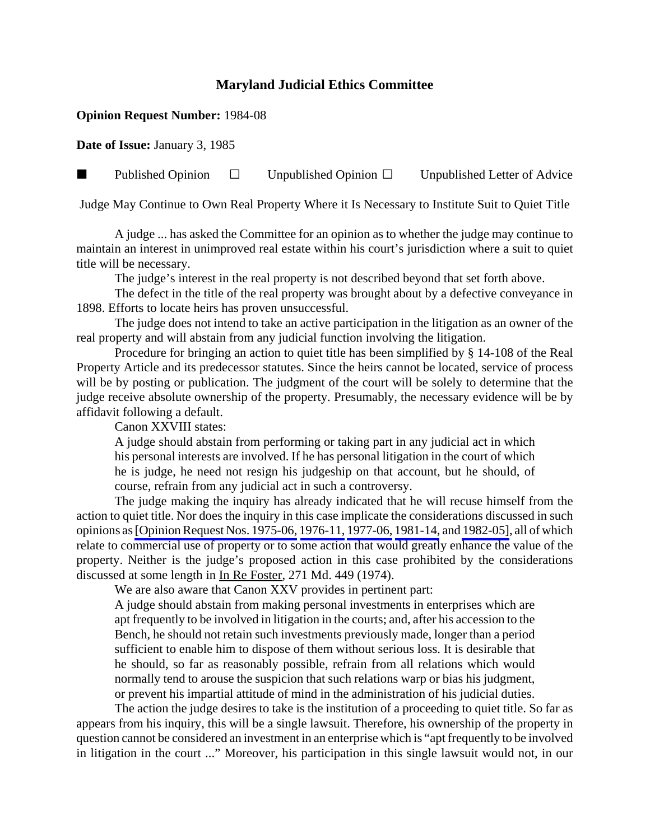## **Maryland Judicial Ethics Committee**

## **Opinion Request Number:** 1984-08

**Date of Issue:** January 3, 1985

**Published Opinion**  $\Box$  Unpublished Opinion  $\Box$  Unpublished Letter of Advice

Judge May Continue to Own Real Property Where it Is Necessary to Institute Suit to Quiet Title

A judge ... has asked the Committee for an opinion as to whether the judge may continue to maintain an interest in unimproved real estate within his court's jurisdiction where a suit to quiet title will be necessary.

The judge's interest in the real property is not described beyond that set forth above.

The defect in the title of the real property was brought about by a defective conveyance in 1898. Efforts to locate heirs has proven unsuccessful.

The judge does not intend to take an active participation in the litigation as an owner of the real property and will abstain from any judicial function involving the litigation.

Procedure for bringing an action to quiet title has been simplified by § 14-108 of the Real Property Article and its predecessor statutes. Since the heirs cannot be located, service of process will be by posting or publication. The judgment of the court will be solely to determine that the judge receive absolute ownership of the property. Presumably, the necessary evidence will be by affidavit following a default.

Canon XXVIII states:

A judge should abstain from performing or taking part in any judicial act in which his personal interests are involved. If he has personal litigation in the court of which he is judge, he need not resign his judgeship on that account, but he should, of course, refrain from any judicial act in such a controversy.

The judge making the inquiry has already indicated that he will recuse himself from the action to quiet title. Nor does the inquiry in this case implicate the considerations discussed in such opinions as [\[Opinion Request Nos. 1975-06,](http://www.mdcourts.gov/ethics/pdfs/1975-06.pdf) [1976-11,](http://www.mdcourts.gov/ethics/pdfs/1976-11.pdf) [1977-06,](http://www.mdcourts.gov/ethics/pdfs/1977-06.pdf) [1981-14,](http://www.mdcourts.gov/ethics/pdfs/1981-14.pdf) and [1982-05\],](http://www.mdcourts.gov/ethics/pdfs/1982-05.pdf) all of which relate to commercial use of property or to some action that would greatly enhance the value of the property. Neither is the judge's proposed action in this case prohibited by the considerations discussed at some length in In Re Foster, 271 Md. 449 (1974).

We are also aware that Canon XXV provides in pertinent part:

A judge should abstain from making personal investments in enterprises which are apt frequently to be involved in litigation in the courts; and, after his accession to the Bench, he should not retain such investments previously made, longer than a period sufficient to enable him to dispose of them without serious loss. It is desirable that he should, so far as reasonably possible, refrain from all relations which would normally tend to arouse the suspicion that such relations warp or bias his judgment, or prevent his impartial attitude of mind in the administration of his judicial duties.

The action the judge desires to take is the institution of a proceeding to quiet title. So far as appears from his inquiry, this will be a single lawsuit. Therefore, his ownership of the property in question cannot be considered an investment in an enterprise which is "apt frequently to be involved in litigation in the court ..." Moreover, his participation in this single lawsuit would not, in our